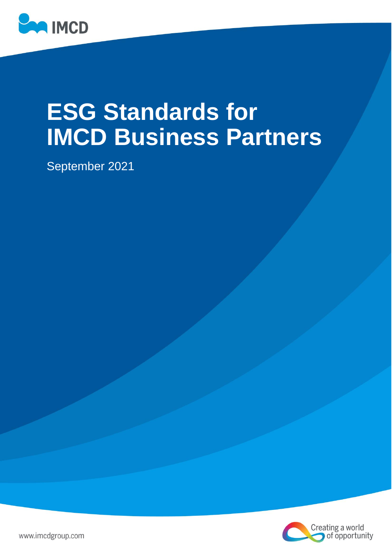

# **ESG Standards for IMCD Business Partners**

September 2021



www.imcdgroup.com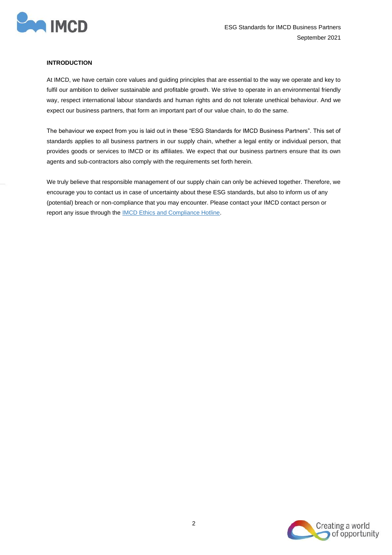

# **INTRODUCTION**

At IMCD, we have certain core values and guiding principles that are essential to the way we operate and key to fulfil our ambition to deliver sustainable and profitable growth. We strive to operate in an environmental friendly way, respect international labour standards and human rights and do not tolerate unethical behaviour. And we expect our business partners, that form an important part of our value chain, to do the same.

The behaviour we expect from you is laid out in these "ESG Standards for IMCD Business Partners". This set of standards applies to all business partners in our supply chain, whether a legal entity or individual person, that provides goods or services to IMCD or its affiliates. We expect that our business partners ensure that its own agents and sub-contractors also comply with the requirements set forth herein.

We truly believe that responsible management of our supply chain can only be achieved together. Therefore, we encourage you to contact us in case of uncertainty about these ESG standards, but also to inform us of any (potential) breach or non-compliance that you may encounter. Please contact your IMCD contact person or report any issue through the [IMCD Ethics and Compliance Hotline.](http://imcdgroup.ethicspoint.com/)

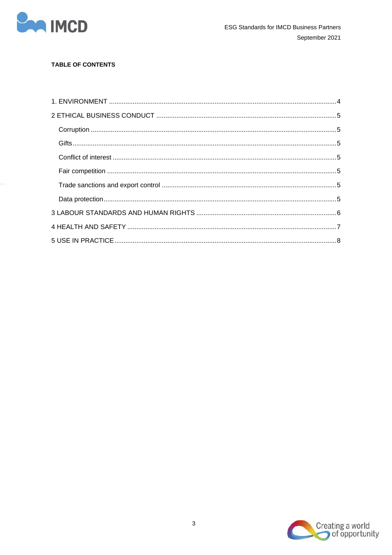

# **TABLE OF CONTENTS**

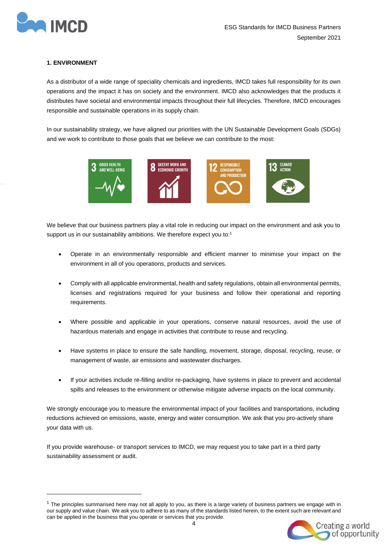

# <span id="page-3-0"></span>**1. ENVIRONMENT**

As a distributor of a wide range of speciality chemicals and ingredients, IMCD takes full responsibility for its own operations and the impact it has on society and the environment. IMCD also acknowledges that the products it distributes have societal and environmental impacts throughout their full lifecycles. Therefore, IMCD encourages responsible and sustainable operations in its supply chain.

In our sustainability strategy, we have aligned our priorities with the UN Sustainable Development Goals (SDGs) and we work to contribute to those goals that we believe we can contribute to the most:



We believe that our business partners play a vital role in reducing our impact on the environment and ask you to support us in our sustainability ambitions. We therefore expect you to:<sup>1</sup>

- Operate in an environmentally responsible and efficient manner to minimise your impact on the environment in all of you operations, products and services.
- Comply with all applicable environmental, health and safety regulations, obtain all environmental permits, licenses and registrations required for your business and follow their operational and reporting requirements.
- Where possible and applicable in your operations, conserve natural resources, avoid the use of hazardous materials and engage in activities that contribute to reuse and recycling.
- Have systems in place to ensure the safe handling, movement, storage, disposal, recycling, reuse, or management of waste, air emissions and wastewater discharges.
- If your activities include re-filling and/or re-packaging, have systems in place to prevent and accidental spills and releases to the environment or otherwise mitigate adverse impacts on the local community.

We strongly encourage you to measure the environmental impact of your facilities and transportations, including reductions achieved on emissions, waste, energy and water consumption. We ask that you pro-actively share your data with us.

If you provide warehouse- or transport services to IMCD, we may request you to take part in a third party sustainability assessment or audit.

 $1$  The principles summarised here may not all apply to you, as there is a large variety of business partners we engage with in our supply and value chain. We ask you to adhere to as many of the standards listed herein, to the extent such are relevant and can be applied in the business that you operate or services that you provide.

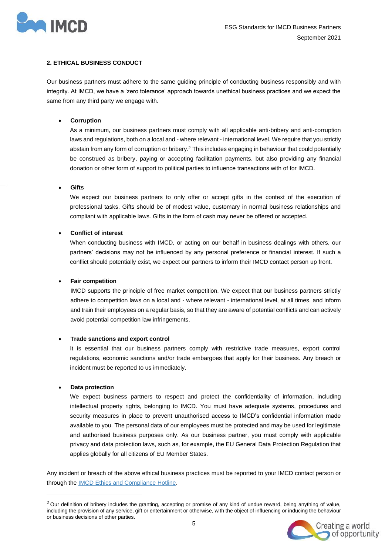

# <span id="page-4-0"></span>**2. ETHICAL BUSINESS CONDUCT**

Our business partners must adhere to the same guiding principle of conducting business responsibly and with integrity. At IMCD, we have a 'zero tolerance' approach towards unethical business practices and we expect the same from any third party we engage with.

# <span id="page-4-1"></span>• **Corruption**

As a minimum, our business partners must comply with all applicable anti-bribery and anti-corruption laws and regulations, both on a local and - where relevant - international level. We require that you strictly abstain from any form of corruption or bribery.<sup>2</sup> This includes engaging in behaviour that could potentially be construed as bribery, paying or accepting facilitation payments, but also providing any financial donation or other form of support to political parties to influence transactions with of for IMCD.

<span id="page-4-2"></span>• **Gifts**

We expect our business partners to only offer or accept gifts in the context of the execution of professional tasks. Gifts should be of modest value, customary in normal business relationships and compliant with applicable laws. Gifts in the form of cash may never be offered or accepted.

# <span id="page-4-3"></span>• **Conflict of interest**

When conducting business with IMCD, or acting on our behalf in business dealings with others, our partners' decisions may not be influenced by any personal preference or financial interest. If such a conflict should potentially exist, we expect our partners to inform their IMCD contact person up front.

#### <span id="page-4-4"></span>• **Fair competition**

IMCD supports the principle of free market competition. We expect that our business partners strictly adhere to competition laws on a local and - where relevant - international level, at all times, and inform and train their employees on a regular basis, so that they are aware of potential conflicts and can actively avoid potential competition law infringements.

# <span id="page-4-5"></span>• **Trade sanctions and export control**

It is essential that our business partners comply with restrictive trade measures, export control regulations, economic sanctions and/or trade embargoes that apply for their business. Any breach or incident must be reported to us immediately.

# <span id="page-4-6"></span>• **Data protection**

We expect business partners to respect and protect the confidentiality of information, including intellectual property rights, belonging to IMCD. You must have adequate systems, procedures and security measures in place to prevent unauthorised access to IMCD's confidential information made available to you. The personal data of our employees must be protected and may be used for legitimate and authorised business purposes only. As our business partner, you must comply with applicable privacy and data protection laws, such as, for example, the EU General Data Protection Regulation that applies globally for all citizens of EU Member States.

Any incident or breach of the above ethical business practices must be reported to your IMCD contact person or through the [IMCD Ethics and Compliance Hotline.](http://imcdgroup.ethicspoint.com/)

 $2$  Our definition of bribery includes the granting, accepting or promise of any kind of undue reward, being anything of value, including the provision of any service, gift or entertainment or otherwise, with the object of influencing or inducing the behaviour or business decisions of other parties.

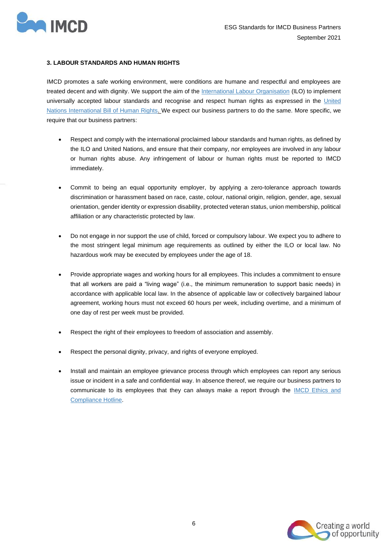

# <span id="page-5-0"></span>**3. LABOUR STANDARDS AND HUMAN RIGHTS**

IMCD promotes a safe working environment, were conditions are humane and respectful and employees are treated decent and with dignity. We support the aim of the [International Labour Organisation](file://///192.168.100.198/users/Cecile/•%09https:/www.ilo.org/global/standards/introduction-to-international-labour-standards/lang--en/index.htm) (ILO) to implement universally accepted labour standards and recognise and respect human rights as expressed in the United [Nations International Bill of Human Rights.](https://www.ohchr.org/documents/publications/compilation1.1en.pdf) We expect our business partners to do the same. More specific, we require that our business partners:

- Respect and comply with the international proclaimed labour standards and human rights, as defined by the ILO and United Nations, and ensure that their company, nor employees are involved in any labour or human rights abuse. Any infringement of labour or human rights must be reported to IMCD immediately.
- Commit to being an equal opportunity employer, by applying a zero-tolerance approach towards discrimination or harassment based on race, caste, colour, national origin, religion, gender, age, sexual orientation, gender identity or expression disability, protected veteran status, union membership, political affiliation or any characteristic protected by law.
- Do not engage in nor support the use of child, forced or compulsory labour. We expect you to adhere to the most stringent legal minimum age requirements as outlined by either the ILO or local law. No hazardous work may be executed by employees under the age of 18.
- Provide appropriate wages and working hours for all employees. This includes a commitment to ensure that all workers are paid a "living wage" (i.e., the minimum remuneration to support basic needs) in accordance with applicable local law. In the absence of applicable law or collectively bargained labour agreement, working hours must not exceed 60 hours per week, including overtime, and a minimum of one day of rest per week must be provided.
- Respect the right of their employees to freedom of association and assembly.
- Respect the personal dignity, privacy, and rights of everyone employed.
- Install and maintain an employee grievance process through which employees can report any serious issue or incident in a safe and confidential way. In absence thereof, we require our business partners to communicate to its employees that they can always make a report through the [IMCD Ethics and](http://imcdgroup.ethicspoint.com/)  [Compliance Hotline.](http://imcdgroup.ethicspoint.com/)

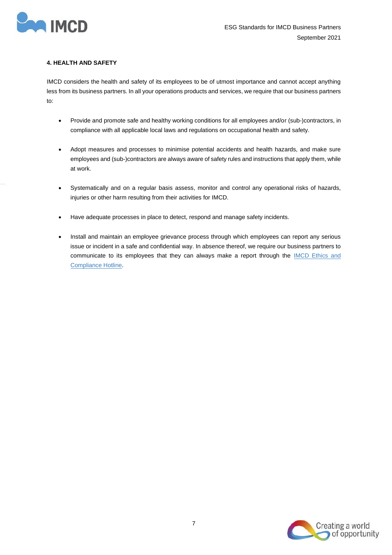

# <span id="page-6-0"></span>**4. HEALTH AND SAFETY**

IMCD considers the health and safety of its employees to be of utmost importance and cannot accept anything less from its business partners. In all your operations products and services, we require that our business partners to:

- Provide and promote safe and healthy working conditions for all employees and/or (sub-)contractors, in compliance with all applicable local laws and regulations on occupational health and safety.
- Adopt measures and processes to minimise potential accidents and health hazards, and make sure employees and (sub-)contractors are always aware of safety rules and instructions that apply them, while at work.
- Systematically and on a regular basis assess, monitor and control any operational risks of hazards, injuries or other harm resulting from their activities for IMCD.
- Have adequate processes in place to detect, respond and manage safety incidents.
- Install and maintain an employee grievance process through which employees can report any serious issue or incident in a safe and confidential way. In absence thereof, we require our business partners to communicate to its employees that they can always make a report through the **IMCD** Ethics and [Compliance Hotline.](http://imcdgroup.ethicspoint.com/)